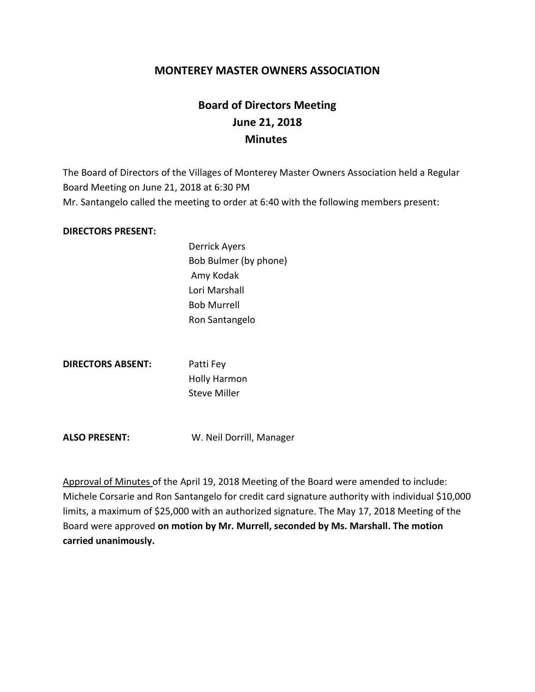# **MONTEREY MASTER OWNERS ASSOCIATION**

# **Board of Directors Meeting June 21, 2018 Minutes**

The Board of Directors of the Villages of Monterey Master Owners Association held a Regular Board Meeting on June 21, 2018 at 6:30 PM Mr. Santangelo called the meeting to order at 6:40 with the following members present:

#### **DIRECTORS PRESENT:**

Derrick Ayers Bob Bulmer (by phone) Amy Kodak Lori Marshall Bob Murrell Ron Santangelo

**DIRECTORS ABSENT:** Patti Fey

Holly Harmon Steve Miller

**ALSO PRESENT:** W. Neil Dorrill, Manager

Approval of Minutes of the April 19, 2018 Meeting of the Board were amended to include: Michele Corsarie and Ron Santangelo for credit card signature authority with individual \$10,000 limits, a maximum of \$25,000 with an authorized signature. The May 17, 2018 Meeting of the Board were approved **on motion by Mr. Murrell, seconded by Ms. Marshall. The motion carried unanimously.**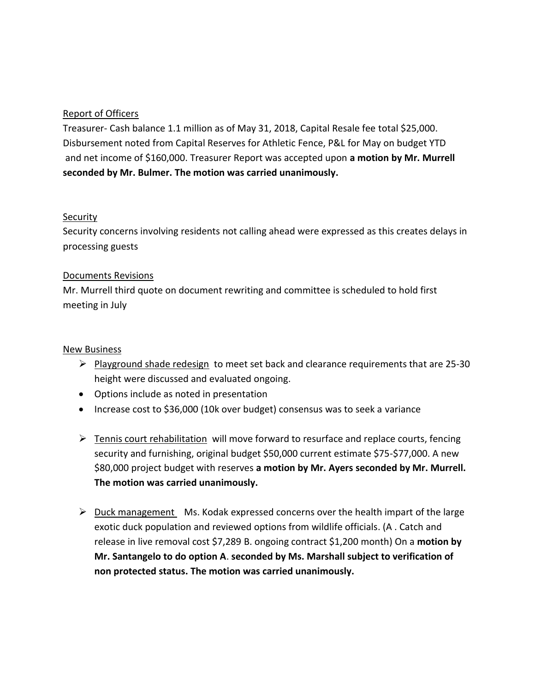# Report of Officers

Treasurer- Cash balance 1.1 million as of May 31, 2018, Capital Resale fee total \$25,000. Disbursement noted from Capital Reserves for Athletic Fence, P&L for May on budget YTD and net income of \$160,000. Treasurer Report was accepted upon **a motion by Mr. Murrell seconded by Mr. Bulmer. The motion was carried unanimously.**

# Security

Security concerns involving residents not calling ahead were expressed as this creates delays in processing guests

# Documents Revisions

Mr. Murrell third quote on document rewriting and committee is scheduled to hold first meeting in July

### New Business

- $\triangleright$  Playground shade redesign to meet set back and clearance requirements that are 25-30 height were discussed and evaluated ongoing.
- Options include as noted in presentation
- Increase cost to \$36,000 (10k over budget) consensus was to seek a variance
- $\triangleright$  Tennis court rehabilitation will move forward to resurface and replace courts, fencing security and furnishing, original budget \$50,000 current estimate \$75-\$77,000. A new \$80,000 project budget with reserves **a motion by Mr. Ayers seconded by Mr. Murrell. The motion was carried unanimously.**
- $\triangleright$  Duck management Ms. Kodak expressed concerns over the health impart of the large exotic duck population and reviewed options from wildlife officials. (A . Catch and release in live removal cost \$7,289 B. ongoing contract \$1,200 month) On a **motion by Mr. Santangelo to do option A**. **seconded by Ms. Marshall subject to verification of non protected status. The motion was carried unanimously.**